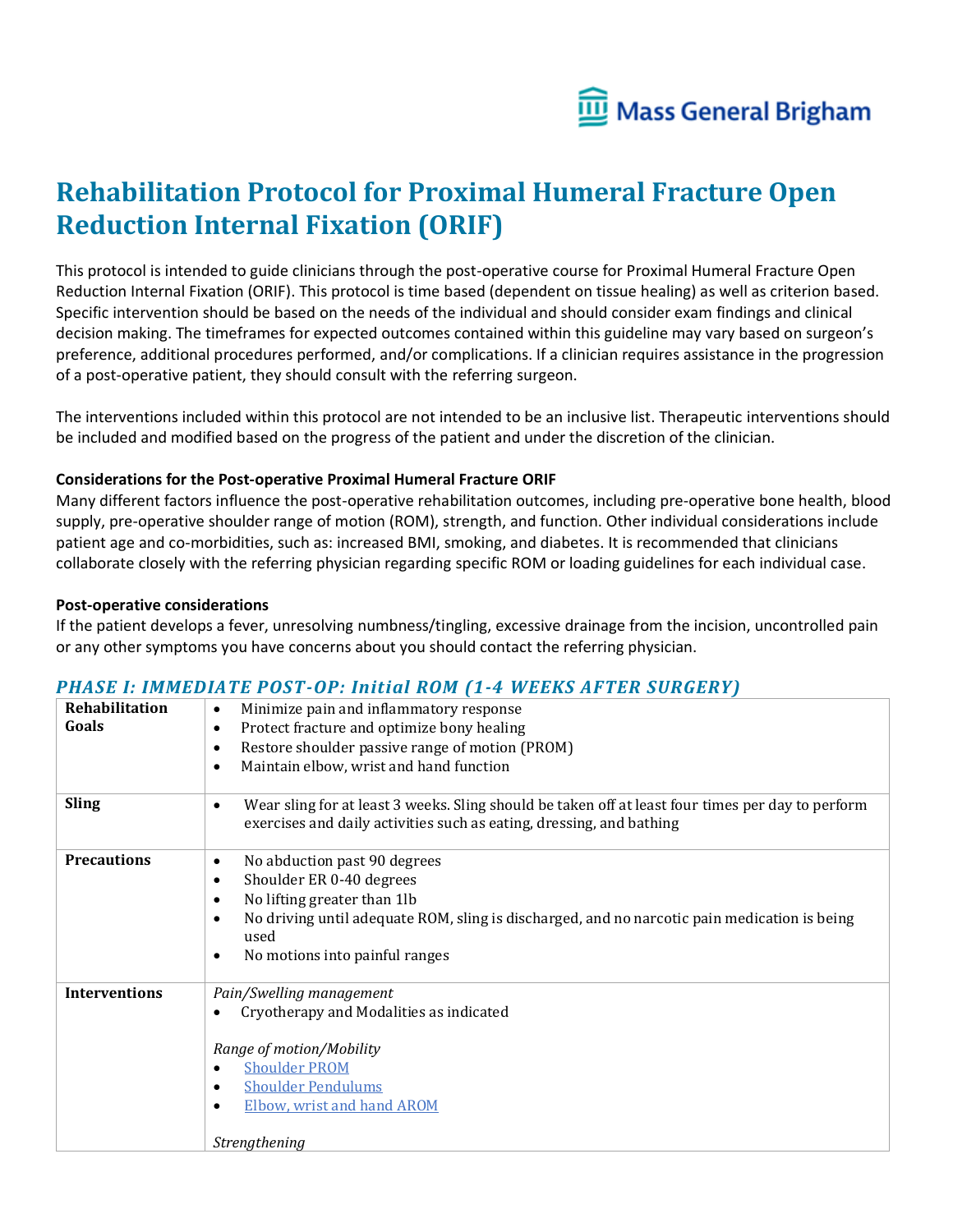

# **Rehabilitation Protocol for Proximal Humeral Fracture Open Reduction Internal Fixation (ORIF)**

This protocol is intended to guide clinicians through the post-operative course for Proximal Humeral Fracture Open Reduction Internal Fixation (ORIF). This protocol is time based (dependent on tissue healing) as well as criterion based. Specific intervention should be based on the needs of the individual and should consider exam findings and clinical decision making. The timeframes for expected outcomes contained within this guideline may vary based on surgeon's preference, additional procedures performed, and/or complications. If a clinician requires assistance in the progression of a post-operative patient, they should consult with the referring surgeon.

The interventions included within this protocol are not intended to be an inclusive list. Therapeutic interventions should be included and modified based on the progress of the patient and under the discretion of the clinician.

#### **Considerations for the Post-operative Proximal Humeral Fracture ORIF**

Many different factors influence the post-operative rehabilitation outcomes, including pre-operative bone health, blood supply, pre-operative shoulder range of motion (ROM), strength, and function. Other individual considerations include patient age and co-morbidities, such as: increased BMI, smoking, and diabetes. It is recommended that clinicians collaborate closely with the referring physician regarding specific ROM or loading guidelines for each individual case.

#### **Post-operative considerations**

If the patient develops a fever, unresolving numbness/tingling, excessive drainage from the incision, uncontrolled pain or any other symptoms you have concerns about you should contact the referring physician.

### *PHASE I: IMMEDIATE POST-OP: Initial ROM (1-4 WEEKS AFTER SURGERY)*

| Rehabilitation<br>Goals | Minimize pain and inflammatory response<br>$\bullet$<br>Protect fracture and optimize bony healing<br>$\bullet$<br>Restore shoulder passive range of motion (PROM)<br>$\bullet$<br>Maintain elbow, wrist and hand function<br>$\bullet$                                                            |
|-------------------------|----------------------------------------------------------------------------------------------------------------------------------------------------------------------------------------------------------------------------------------------------------------------------------------------------|
| <b>Sling</b>            | Wear sling for at least 3 weeks. Sling should be taken off at least four times per day to perform<br>$\bullet$<br>exercises and daily activities such as eating, dressing, and bathing                                                                                                             |
| <b>Precautions</b>      | No abduction past 90 degrees<br>$\bullet$<br>Shoulder ER 0-40 degrees<br>$\bullet$<br>No lifting greater than 1lb<br>$\bullet$<br>No driving until adequate ROM, sling is discharged, and no narcotic pain medication is being<br>$\bullet$<br>used<br>No motions into painful ranges<br>$\bullet$ |
| <b>Interventions</b>    | Pain/Swelling management<br>Cryotherapy and Modalities as indicated<br>$\bullet$<br>Range of motion/Mobility<br><b>Shoulder PROM</b><br><b>Shoulder Pendulums</b><br>٠<br><b>Elbow, wrist and hand AROM</b><br>$\bullet$<br>Strengthening                                                          |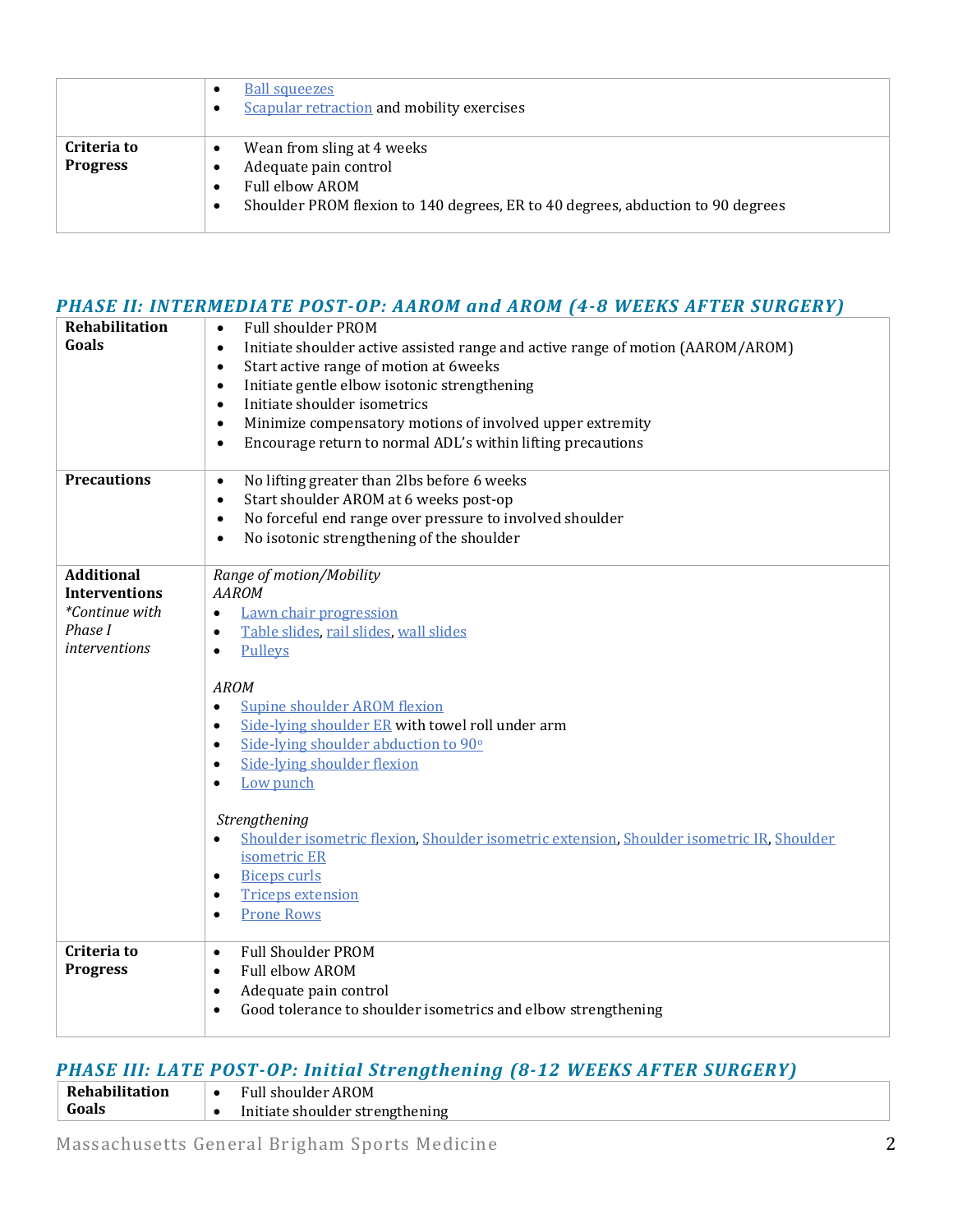|                                | <b>Ball squeezes</b><br>$\bullet$<br><b>Scapular retraction and mobility exercises</b><br>$\bullet$                                                                                           |
|--------------------------------|-----------------------------------------------------------------------------------------------------------------------------------------------------------------------------------------------|
| Criteria to<br><b>Progress</b> | Wean from sling at 4 weeks<br>٠<br>Adequate pain control<br>٠<br>Full elbow AROM<br>$\bullet$<br>Shoulder PROM flexion to 140 degrees, ER to 40 degrees, abduction to 90 degrees<br>$\bullet$ |

## *PHASE II: INTERMEDIATE POST-OP: AAROM and AROM (4-8 WEEKS AFTER SURGERY)*

| <b>Rehabilitation</b><br>Goals                                                                 | <b>Full shoulder PROM</b><br>$\bullet$<br>Initiate shoulder active assisted range and active range of motion (AAROM/AROM)<br>$\bullet$<br>Start active range of motion at 6weeks<br>$\bullet$<br>Initiate gentle elbow isotonic strengthening<br>$\bullet$<br>Initiate shoulder isometrics<br>$\bullet$<br>Minimize compensatory motions of involved upper extremity<br>$\bullet$<br>Encourage return to normal ADL's within lifting precautions<br>$\bullet$ |
|------------------------------------------------------------------------------------------------|---------------------------------------------------------------------------------------------------------------------------------------------------------------------------------------------------------------------------------------------------------------------------------------------------------------------------------------------------------------------------------------------------------------------------------------------------------------|
| <b>Precautions</b>                                                                             | No lifting greater than 2lbs before 6 weeks<br>$\bullet$<br>Start shoulder AROM at 6 weeks post-op<br>$\bullet$<br>No forceful end range over pressure to involved shoulder<br>$\bullet$<br>No isotonic strengthening of the shoulder<br>$\bullet$                                                                                                                                                                                                            |
| <b>Additional</b><br><b>Interventions</b><br>*Continue with<br>Phase I<br><i>interventions</i> | Range of motion/Mobility<br><b>AAROM</b><br>Lawn chair progression<br>$\bullet$<br>Table slides, rail slides, wall slides<br>$\bullet$<br>Pulleys<br>$\bullet$<br><b>AROM</b>                                                                                                                                                                                                                                                                                 |
|                                                                                                | <b>Supine shoulder AROM flexion</b><br>$\bullet$<br>Side-lying shoulder ER with towel roll under arm<br>$\bullet$<br>Side-lying shoulder abduction to 90°<br>$\bullet$<br>Side-lying shoulder flexion<br>$\bullet$<br>Low punch<br>$\bullet$                                                                                                                                                                                                                  |
|                                                                                                | Strengthening<br>Shoulder isometric flexion, Shoulder isometric extension, Shoulder isometric IR, Shoulder<br>$\bullet$<br>isometric ER<br><b>Biceps curls</b><br>$\bullet$<br><b>Triceps extension</b><br>٠<br><b>Prone Rows</b><br>$\bullet$                                                                                                                                                                                                                |
| Criteria to<br><b>Progress</b>                                                                 | <b>Full Shoulder PROM</b><br>$\bullet$<br>Full elbow AROM<br>$\bullet$<br>Adequate pain control<br>$\bullet$<br>Good tolerance to shoulder isometrics and elbow strengthening<br>$\bullet$                                                                                                                                                                                                                                                                    |

### *PHASE III: LATE POST-OP: Initial Strengthening (8-12 WEEKS AFTER SURGERY)*

| Rehabilitation | <b>Full shoulder AROM</b>       |
|----------------|---------------------------------|
| Goals          | Initiate shoulder strengthening |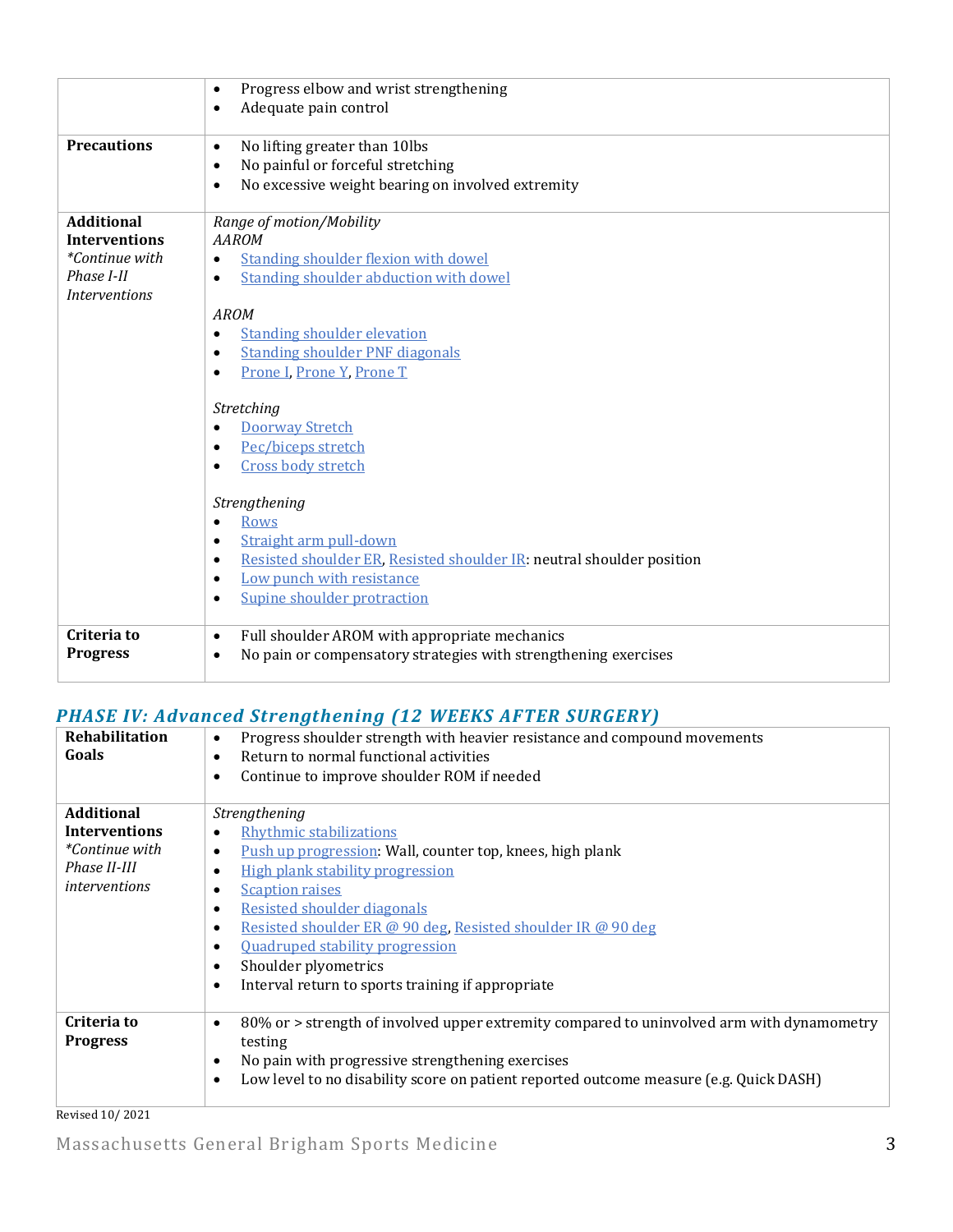|                                                                                                   | Progress elbow and wrist strengthening<br>$\bullet$<br>Adequate pain control<br>$\bullet$                                                                                                                                                                                                                                                                                                                                                                        |
|---------------------------------------------------------------------------------------------------|------------------------------------------------------------------------------------------------------------------------------------------------------------------------------------------------------------------------------------------------------------------------------------------------------------------------------------------------------------------------------------------------------------------------------------------------------------------|
| <b>Precautions</b>                                                                                | No lifting greater than 10lbs<br>$\bullet$<br>No painful or forceful stretching<br>$\bullet$<br>No excessive weight bearing on involved extremity<br>$\bullet$                                                                                                                                                                                                                                                                                                   |
| <b>Additional</b><br><b>Interventions</b><br>*Continue with<br>Phase I-II<br><i>Interventions</i> | Range of motion/Mobility<br><b>AAROM</b><br><b>Standing shoulder flexion with dowel</b><br>$\bullet$<br><b>Standing shoulder abduction with dowel</b><br>$\bullet$<br><b>AROM</b><br><b>Standing shoulder elevation</b><br>$\bullet$<br><b>Standing shoulder PNF diagonals</b><br>$\bullet$<br>Prone I, Prone Y, Prone T<br>$\bullet$<br>Stretching<br><b>Doorway Stretch</b><br>$\bullet$<br>Pec/biceps stretch<br>$\bullet$<br>Cross body stretch<br>$\bullet$ |
|                                                                                                   | Strengthening<br><b>Rows</b><br>$\bullet$<br>Straight arm pull-down<br>$\bullet$<br>Resisted shoulder ER, Resisted shoulder IR: neutral shoulder position<br>$\bullet$<br>Low punch with resistance<br>$\bullet$<br>Supine shoulder protraction<br>$\bullet$                                                                                                                                                                                                     |
| Criteria to<br><b>Progress</b>                                                                    | Full shoulder AROM with appropriate mechanics<br>$\bullet$<br>No pain or compensatory strategies with strengthening exercises<br>$\bullet$                                                                                                                                                                                                                                                                                                                       |

### *PHASE IV: Advanced Strengthening (12 WEEKS AFTER SURGERY)*

| <b>Rehabilitation</b><br>Goals | Progress shoulder strength with heavier resistance and compound movements<br>$\bullet$<br>Return to normal functional activities<br>$\bullet$<br>Continue to improve shoulder ROM if needed<br>$\bullet$ |
|--------------------------------|----------------------------------------------------------------------------------------------------------------------------------------------------------------------------------------------------------|
| <b>Additional</b>              | Strengthening                                                                                                                                                                                            |
| <b>Interventions</b>           | Rhythmic stabilizations<br>$\bullet$                                                                                                                                                                     |
| <i>*Continue with</i>          | <b>Push up progression: Wall, counter top, knees, high plank</b><br>$\bullet$                                                                                                                            |
| Phase II-III                   | High plank stability progression<br>$\bullet$                                                                                                                                                            |
| <i>interventions</i>           | <b>Scaption raises</b><br>٠                                                                                                                                                                              |
|                                | <b>Resisted shoulder diagonals</b><br>$\bullet$                                                                                                                                                          |
|                                | Resisted shoulder ER @ 90 deg, Resisted shoulder IR @ 90 deg<br>$\bullet$                                                                                                                                |
|                                | <b>Ouadruped stability progression</b><br>$\bullet$                                                                                                                                                      |
|                                | Shoulder plyometrics<br>$\bullet$                                                                                                                                                                        |
|                                | Interval return to sports training if appropriate<br>$\bullet$                                                                                                                                           |
|                                |                                                                                                                                                                                                          |
| Criteria to<br><b>Progress</b> | 80% or > strength of involved upper extremity compared to uninvolved arm with dynamometry<br>$\bullet$<br>testing                                                                                        |
|                                | No pain with progressive strengthening exercises<br>$\bullet$                                                                                                                                            |
|                                | Low level to no disability score on patient reported outcome measure (e.g. Quick DASH)<br>$\bullet$                                                                                                      |
|                                |                                                                                                                                                                                                          |

Revised 10/2021

Massachusetts General Brigham Sports Medicine 3